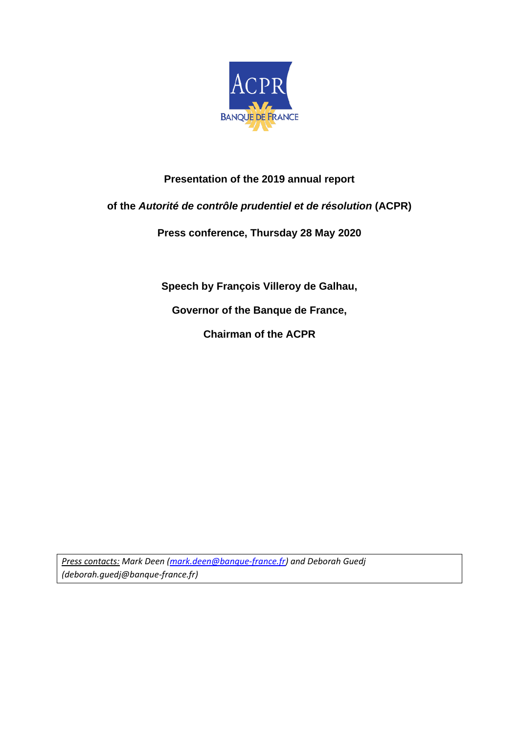

### **Presentation of the 2019 annual report**

#### **of the** *Autorité de contrôle prudentiel et de résolution* **(ACPR)**

**Press conference, Thursday 28 May 2020**

**Speech by François Villeroy de Galhau, Governor of the Banque de France,**

**Chairman of the ACPR**

*Press contacts: Mark Deen [\(mark.deen@banque-france.fr\)](mailto:mark.deen@banque-france.fr) and Deborah Guedj (deborah.guedj@banque-france.fr)*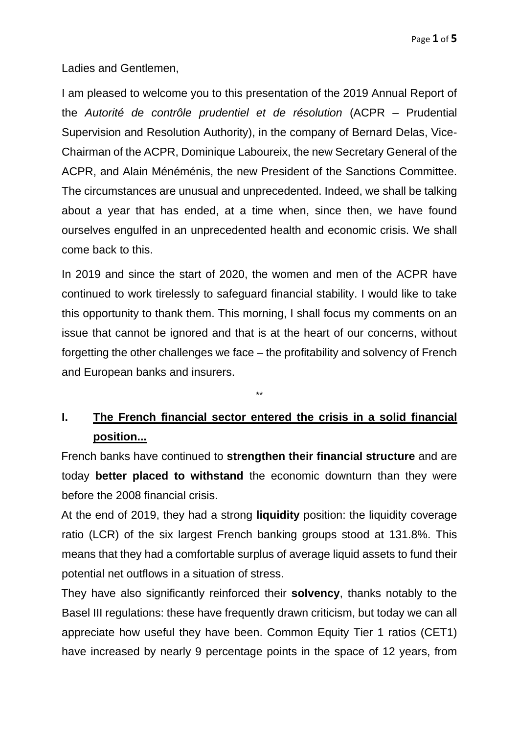Ladies and Gentlemen,

I am pleased to welcome you to this presentation of the 2019 Annual Report of the *Autorité de contrôle prudentiel et de résolution* (ACPR – Prudential Supervision and Resolution Authority), in the company of Bernard Delas, Vice-Chairman of the ACPR, Dominique Laboureix, the new Secretary General of the ACPR, and Alain Ménéménis, the new President of the Sanctions Committee. The circumstances are unusual and unprecedented. Indeed, we shall be talking about a year that has ended, at a time when, since then, we have found ourselves engulfed in an unprecedented health and economic crisis. We shall come back to this.

In 2019 and since the start of 2020, the women and men of the ACPR have continued to work tirelessly to safeguard financial stability. I would like to take this opportunity to thank them. This morning, I shall focus my comments on an issue that cannot be ignored and that is at the heart of our concerns, without forgetting the other challenges we face – the profitability and solvency of French and European banks and insurers.

# **I. The French financial sector entered the crisis in a solid financial position...**

\*\*

French banks have continued to **strengthen their financial structure** and are today **better placed to withstand** the economic downturn than they were before the 2008 financial crisis.

At the end of 2019, they had a strong **liquidity** position: the liquidity coverage ratio (LCR) of the six largest French banking groups stood at 131.8%. This means that they had a comfortable surplus of average liquid assets to fund their potential net outflows in a situation of stress.

They have also significantly reinforced their **solvency**, thanks notably to the Basel III regulations: these have frequently drawn criticism, but today we can all appreciate how useful they have been. Common Equity Tier 1 ratios (CET1) have increased by nearly 9 percentage points in the space of 12 years, from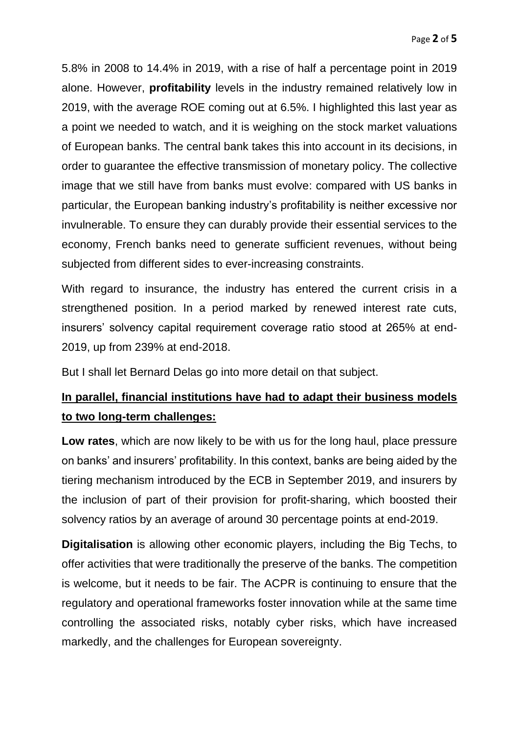5.8% in 2008 to 14.4% in 2019, with a rise of half a percentage point in 2019 alone. However, **profitability** levels in the industry remained relatively low in 2019, with the average ROE coming out at 6.5%. I highlighted this last year as a point we needed to watch, and it is weighing on the stock market valuations of European banks. The central bank takes this into account in its decisions, in order to guarantee the effective transmission of monetary policy. The collective image that we still have from banks must evolve: compared with US banks in particular, the European banking industry's profitability is neither excessive nor invulnerable. To ensure they can durably provide their essential services to the economy, French banks need to generate sufficient revenues, without being subjected from different sides to ever-increasing constraints.

With regard to insurance, the industry has entered the current crisis in a strengthened position. In a period marked by renewed interest rate cuts, insurers' solvency capital requirement coverage ratio stood at 265% at end-2019, up from 239% at end-2018.

But I shall let Bernard Delas go into more detail on that subject.

## **In parallel, financial institutions have had to adapt their business models to two long-term challenges:**

**Low rates**, which are now likely to be with us for the long haul, place pressure on banks' and insurers' profitability. In this context, banks are being aided by the tiering mechanism introduced by the ECB in September 2019, and insurers by the inclusion of part of their provision for profit-sharing, which boosted their solvency ratios by an average of around 30 percentage points at end-2019.

**Digitalisation** is allowing other economic players, including the Big Techs, to offer activities that were traditionally the preserve of the banks. The competition is welcome, but it needs to be fair. The ACPR is continuing to ensure that the regulatory and operational frameworks foster innovation while at the same time controlling the associated risks, notably cyber risks, which have increased markedly, and the challenges for European sovereignty.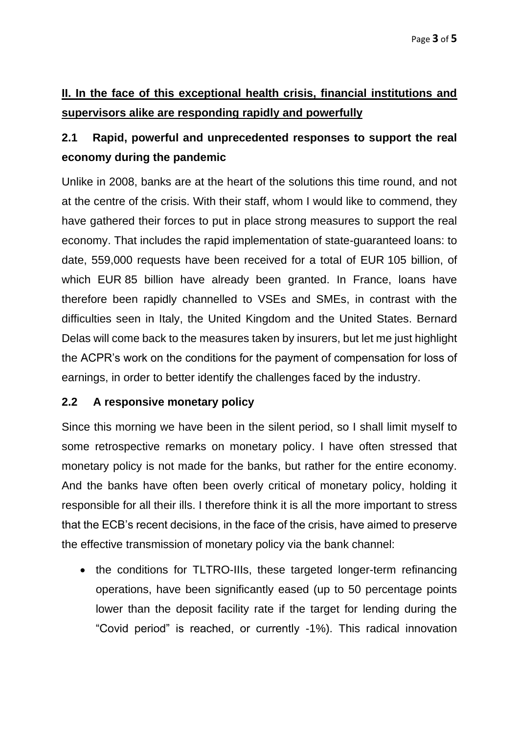# **II. In the face of this exceptional health crisis, financial institutions and supervisors alike are responding rapidly and powerfully**

# **2.1 Rapid, powerful and unprecedented responses to support the real economy during the pandemic**

Unlike in 2008, banks are at the heart of the solutions this time round, and not at the centre of the crisis. With their staff, whom I would like to commend, they have gathered their forces to put in place strong measures to support the real economy. That includes the rapid implementation of state-guaranteed loans: to date, 559,000 requests have been received for a total of EUR 105 billion, of which EUR 85 billion have already been granted. In France, loans have therefore been rapidly channelled to VSEs and SMEs, in contrast with the difficulties seen in Italy, the United Kingdom and the United States. Bernard Delas will come back to the measures taken by insurers, but let me just highlight the ACPR's work on the conditions for the payment of compensation for loss of earnings, in order to better identify the challenges faced by the industry.

### **2.2 A responsive monetary policy**

Since this morning we have been in the silent period, so I shall limit myself to some retrospective remarks on monetary policy. I have often stressed that monetary policy is not made for the banks, but rather for the entire economy. And the banks have often been overly critical of monetary policy, holding it responsible for all their ills. I therefore think it is all the more important to stress that the ECB's recent decisions, in the face of the crisis, have aimed to preserve the effective transmission of monetary policy via the bank channel:

• the conditions for TLTRO-IIIs, these targeted longer-term refinancing operations, have been significantly eased (up to 50 percentage points lower than the deposit facility rate if the target for lending during the "Covid period" is reached, or currently -1%). This radical innovation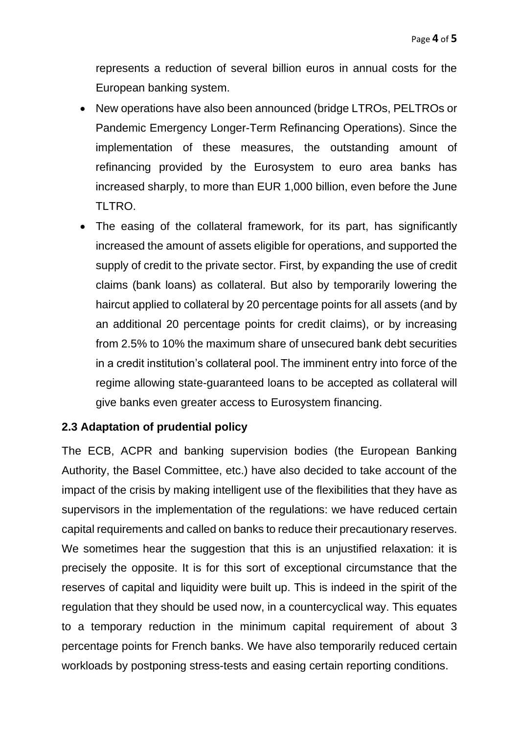represents a reduction of several billion euros in annual costs for the European banking system.

- New operations have also been announced (bridge LTROs, PELTROs or Pandemic Emergency Longer-Term Refinancing Operations). Since the implementation of these measures, the outstanding amount of refinancing provided by the Eurosystem to euro area banks has increased sharply, to more than EUR 1,000 billion, even before the June TI TRO.
- The easing of the collateral framework, for its part, has significantly increased the amount of assets eligible for operations, and supported the supply of credit to the private sector. First, by expanding the use of credit claims (bank loans) as collateral. But also by temporarily lowering the haircut applied to collateral by 20 percentage points for all assets (and by an additional 20 percentage points for credit claims), or by increasing from 2.5% to 10% the maximum share of unsecured bank debt securities in a credit institution's collateral pool. The imminent entry into force of the regime allowing state-guaranteed loans to be accepted as collateral will give banks even greater access to Eurosystem financing.

### **2.3 Adaptation of prudential policy**

The ECB, ACPR and banking supervision bodies (the European Banking Authority, the Basel Committee, etc.) have also decided to take account of the impact of the crisis by making intelligent use of the flexibilities that they have as supervisors in the implementation of the regulations: we have reduced certain capital requirements and called on banks to reduce their precautionary reserves. We sometimes hear the suggestion that this is an uniustified relaxation: it is precisely the opposite. It is for this sort of exceptional circumstance that the reserves of capital and liquidity were built up. This is indeed in the spirit of the regulation that they should be used now, in a countercyclical way. This equates to a temporary reduction in the minimum capital requirement of about 3 percentage points for French banks. We have also temporarily reduced certain workloads by postponing stress-tests and easing certain reporting conditions.